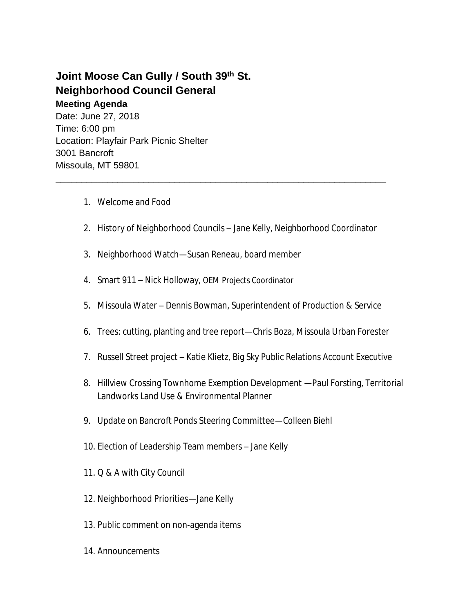## **Joint Moose Can Gully / South 39th St. Neighborhood Council General Meeting Agenda**

Date: June 27, 2018 Time: 6:00 pm Location: Playfair Park Picnic Shelter 3001 Bancroft Missoula, MT 59801

- 1. Welcome and Food
- 2. History of Neighborhood Councils Jane Kelly, Neighborhood Coordinator

\_\_\_\_\_\_\_\_\_\_\_\_\_\_\_\_\_\_\_\_\_\_\_\_\_\_\_\_\_\_\_\_\_\_\_\_\_\_\_\_\_\_\_\_\_\_\_\_\_\_\_\_\_\_\_\_\_\_\_\_\_\_\_\_

- 3. Neighborhood Watch—Susan Reneau, board member
- 4. Smart 911 Nick Holloway, OEM Projects Coordinator
- 5. Missoula Water Dennis Bowman, Superintendent of Production & Service
- 6. Trees: cutting, planting and tree report—Chris Boza, Missoula Urban Forester
- 7. Russell Street project Katie Klietz, Big Sky Public Relations Account Executive
- 8. Hillview Crossing Townhome Exemption Development —Paul Forsting, Territorial Landworks Land Use & Environmental Planner
- 9. Update on Bancroft Ponds Steering Committee—Colleen Biehl
- 10. Election of Leadership Team members Jane Kelly
- 11. Q & A with City Council
- 12. Neighborhood Priorities—Jane Kelly
- 13. Public comment on non-agenda items
- 14. Announcements